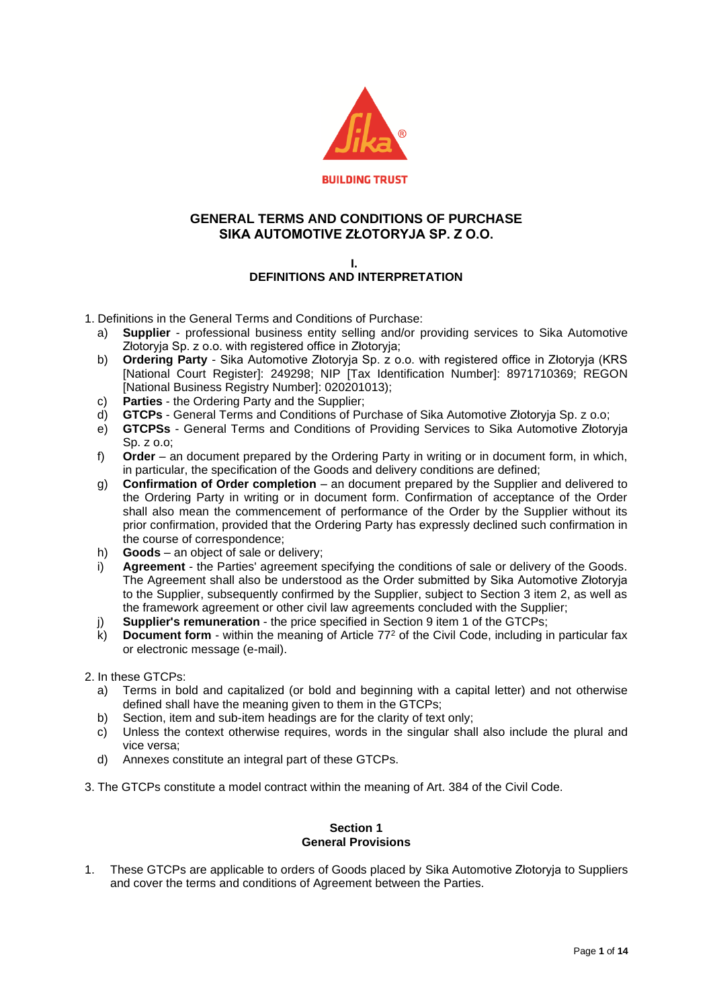

## **GENERAL TERMS AND CONDITIONS OF PURCHASE SIKA AUTOMOTIVE ZŁOTORYJA SP. Z O.O.**

## **I. DEFINITIONS AND INTERPRETATION**

- 1. Definitions in the General Terms and Conditions of Purchase:
	- a) **Supplier** professional business entity selling and/or providing services to Sika Automotive Złotoryja Sp. z o.o. with registered office in Złotoryja;
	- b) **Ordering Party** Sika Automotive Złotoryja Sp. z o.o. with registered office in Złotoryja (KRS [National Court Register]: 249298; NIP [Tax Identification Number]: 8971710369; REGON [National Business Registry Number]: 020201013);
	- c) **Parties** the Ordering Party and the Supplier;
	- d) **GTCPs** General Terms and Conditions of Purchase of Sika Automotive Złotoryja Sp. z o.o;
	- e) **GTCPSs** General Terms and Conditions of Providing Services to Sika Automotive Złotoryja Sp. z o.o;
	- f) **Order** an document prepared by the Ordering Party in writing or in document form, in which, in particular, the specification of the Goods and delivery conditions are defined;
	- g) **Confirmation of Order completion** an document prepared by the Supplier and delivered to the Ordering Party in writing or in document form. Confirmation of acceptance of the Order shall also mean the commencement of performance of the Order by the Supplier without its prior confirmation, provided that the Ordering Party has expressly declined such confirmation in the course of correspondence;
	- h) **Goods** an object of sale or delivery;
	- i) **Agreement** the Parties' agreement specifying the conditions of sale or delivery of the Goods. The Agreement shall also be understood as the Order submitted by Sika Automotive Złotoryja to the Supplier, subsequently confirmed by the Supplier, subject to Section 3 item 2, as well as the framework agreement or other civil law agreements concluded with the Supplier;
	- j) **Supplier's remuneration** the price specified in Section 9 item 1 of the GTCPs;
	- k) **Document form** within the meaning of Article 77<sup>2</sup> of the Civil Code, including in particular fax or electronic message (e-mail).
- 2. In these GTCPs:
	- a) Terms in bold and capitalized (or bold and beginning with a capital letter) and not otherwise defined shall have the meaning given to them in the GTCPs;
	- b) Section, item and sub-item headings are for the clarity of text only;
	- c) Unless the context otherwise requires, words in the singular shall also include the plural and vice versa;
	- d) Annexes constitute an integral part of these GTCPs.
- 3. The GTCPs constitute a model contract within the meaning of Art. 384 of the Civil Code.

## **Section 1 General Provisions**

1. These GTCPs are applicable to orders of Goods placed by Sika Automotive Złotoryja to Suppliers and cover the terms and conditions of Agreement between the Parties.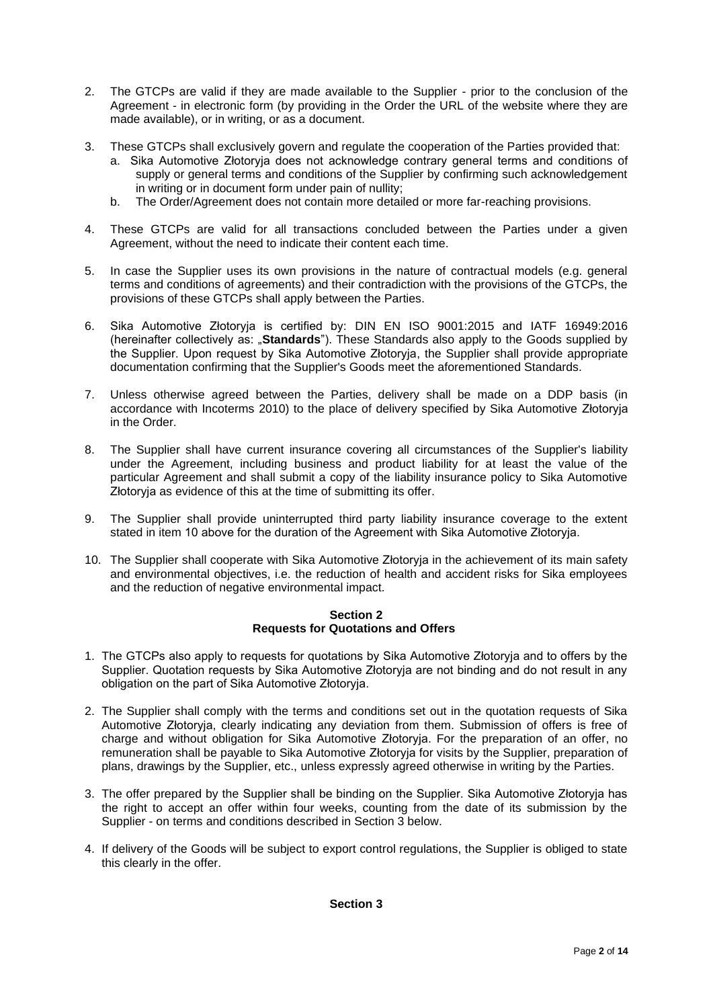- 2. The GTCPs are valid if they are made available to the Supplier prior to the conclusion of the Agreement - in electronic form (by providing in the Order the URL of the website where they are made available), or in writing, or as a document.
- 3. These GTCPs shall exclusively govern and regulate the cooperation of the Parties provided that:
	- a. Sika Automotive Złotoryja does not acknowledge contrary general terms and conditions of supply or general terms and conditions of the Supplier by confirming such acknowledgement in writing or in document form under pain of nullity;
	- b. The Order/Agreement does not contain more detailed or more far-reaching provisions.
- 4. These GTCPs are valid for all transactions concluded between the Parties under a given Agreement, without the need to indicate their content each time.
- 5. In case the Supplier uses its own provisions in the nature of contractual models (e.g. general terms and conditions of agreements) and their contradiction with the provisions of the GTCPs, the provisions of these GTCPs shall apply between the Parties.
- 6. Sika Automotive Złotoryja is certified by: DIN EN ISO 9001:2015 and IATF 16949:2016 (hereinafter collectively as: "**Standards**"). These Standards also apply to the Goods supplied by the Supplier. Upon request by Sika Automotive Złotoryja, the Supplier shall provide appropriate documentation confirming that the Supplier's Goods meet the aforementioned Standards.
- 7. Unless otherwise agreed between the Parties, delivery shall be made on a DDP basis (in accordance with Incoterms 2010) to the place of delivery specified by Sika Automotive Złotoryja in the Order.
- 8. The Supplier shall have current insurance covering all circumstances of the Supplier's liability under the Agreement, including business and product liability for at least the value of the particular Agreement and shall submit a copy of the liability insurance policy to Sika Automotive Złotoryja as evidence of this at the time of submitting its offer.
- 9. The Supplier shall provide uninterrupted third party liability insurance coverage to the extent stated in item 10 above for the duration of the Agreement with Sika Automotive Złotoryja.
- 10. The Supplier shall cooperate with Sika Automotive Złotoryja in the achievement of its main safety and environmental objectives, i.e. the reduction of health and accident risks for Sika employees and the reduction of negative environmental impact.

## **Section 2 Requests for Quotations and Offers**

- 1. The GTCPs also apply to requests for quotations by Sika Automotive Złotoryja and to offers by the Supplier. Quotation requests by Sika Automotive Złotoryja are not binding and do not result in any obligation on the part of Sika Automotive Złotoryja.
- 2. The Supplier shall comply with the terms and conditions set out in the quotation requests of Sika Automotive Złotoryja, clearly indicating any deviation from them. Submission of offers is free of charge and without obligation for Sika Automotive Złotoryja. For the preparation of an offer, no remuneration shall be payable to Sika Automotive Złotoryja for visits by the Supplier, preparation of plans, drawings by the Supplier, etc., unless expressly agreed otherwise in writing by the Parties.
- 3. The offer prepared by the Supplier shall be binding on the Supplier. Sika Automotive Złotoryja has the right to accept an offer within four weeks, counting from the date of its submission by the Supplier - on terms and conditions described in Section 3 below.
- 4. If delivery of the Goods will be subject to export control regulations, the Supplier is obliged to state this clearly in the offer.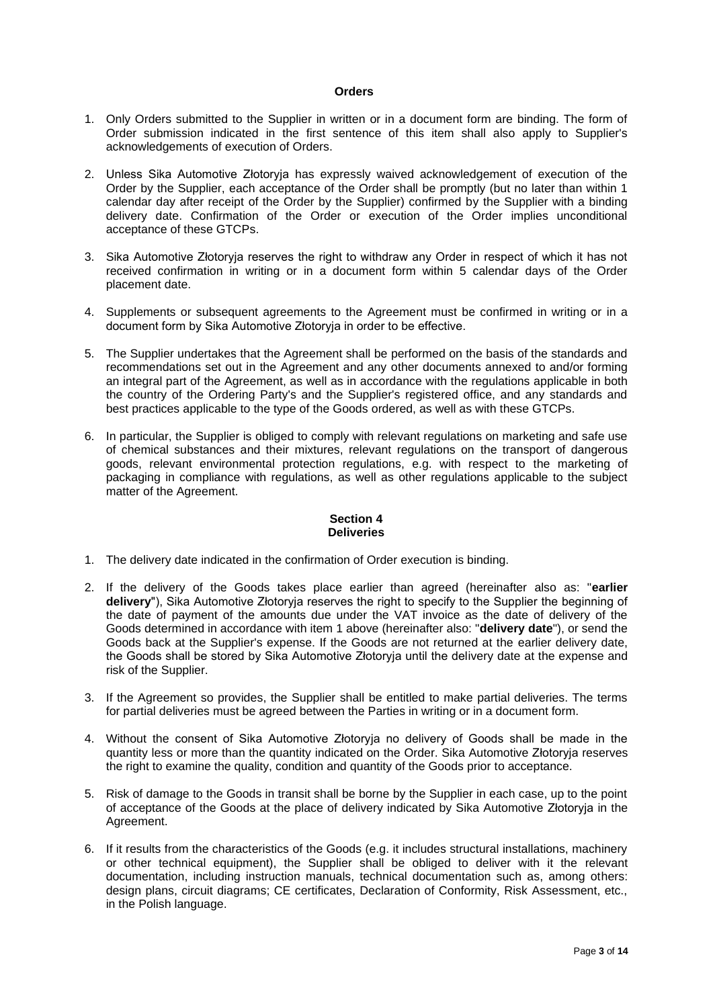#### **Orders**

- 1. Only Orders submitted to the Supplier in written or in a document form are binding. The form of Order submission indicated in the first sentence of this item shall also apply to Supplier's acknowledgements of execution of Orders.
- 2. Unless Sika Automotive Złotoryja has expressly waived acknowledgement of execution of the Order by the Supplier, each acceptance of the Order shall be promptly (but no later than within 1 calendar day after receipt of the Order by the Supplier) confirmed by the Supplier with a binding delivery date. Confirmation of the Order or execution of the Order implies unconditional acceptance of these GTCPs.
- 3. Sika Automotive Złotoryja reserves the right to withdraw any Order in respect of which it has not received confirmation in writing or in a document form within 5 calendar days of the Order placement date.
- 4. Supplements or subsequent agreements to the Agreement must be confirmed in writing or in a document form by Sika Automotive Złotoryja in order to be effective.
- 5. The Supplier undertakes that the Agreement shall be performed on the basis of the standards and recommendations set out in the Agreement and any other documents annexed to and/or forming an integral part of the Agreement, as well as in accordance with the regulations applicable in both the country of the Ordering Party's and the Supplier's registered office, and any standards and best practices applicable to the type of the Goods ordered, as well as with these GTCPs.
- 6. In particular, the Supplier is obliged to comply with relevant regulations on marketing and safe use of chemical substances and their mixtures, relevant regulations on the transport of dangerous goods, relevant environmental protection regulations, e.g. with respect to the marketing of packaging in compliance with regulations, as well as other regulations applicable to the subject matter of the Agreement.

#### **Section 4 Deliveries**

- 1. The delivery date indicated in the confirmation of Order execution is binding.
- 2. If the delivery of the Goods takes place earlier than agreed (hereinafter also as: "**earlier delivery**"), Sika Automotive Złotoryja reserves the right to specify to the Supplier the beginning of the date of payment of the amounts due under the VAT invoice as the date of delivery of the Goods determined in accordance with item 1 above (hereinafter also: "**delivery date**"), or send the Goods back at the Supplier's expense. If the Goods are not returned at the earlier delivery date, the Goods shall be stored by Sika Automotive Złotoryja until the delivery date at the expense and risk of the Supplier.
- 3. If the Agreement so provides, the Supplier shall be entitled to make partial deliveries. The terms for partial deliveries must be agreed between the Parties in writing or in a document form.
- 4. Without the consent of Sika Automotive Złotoryja no delivery of Goods shall be made in the quantity less or more than the quantity indicated on the Order. Sika Automotive Złotoryja reserves the right to examine the quality, condition and quantity of the Goods prior to acceptance.
- 5. Risk of damage to the Goods in transit shall be borne by the Supplier in each case, up to the point of acceptance of the Goods at the place of delivery indicated by Sika Automotive Złotoryja in the Agreement.
- 6. If it results from the characteristics of the Goods (e.g. it includes structural installations, machinery or other technical equipment), the Supplier shall be obliged to deliver with it the relevant documentation, including instruction manuals, technical documentation such as, among others: design plans, circuit diagrams; CE certificates, Declaration of Conformity, Risk Assessment, etc., in the Polish language.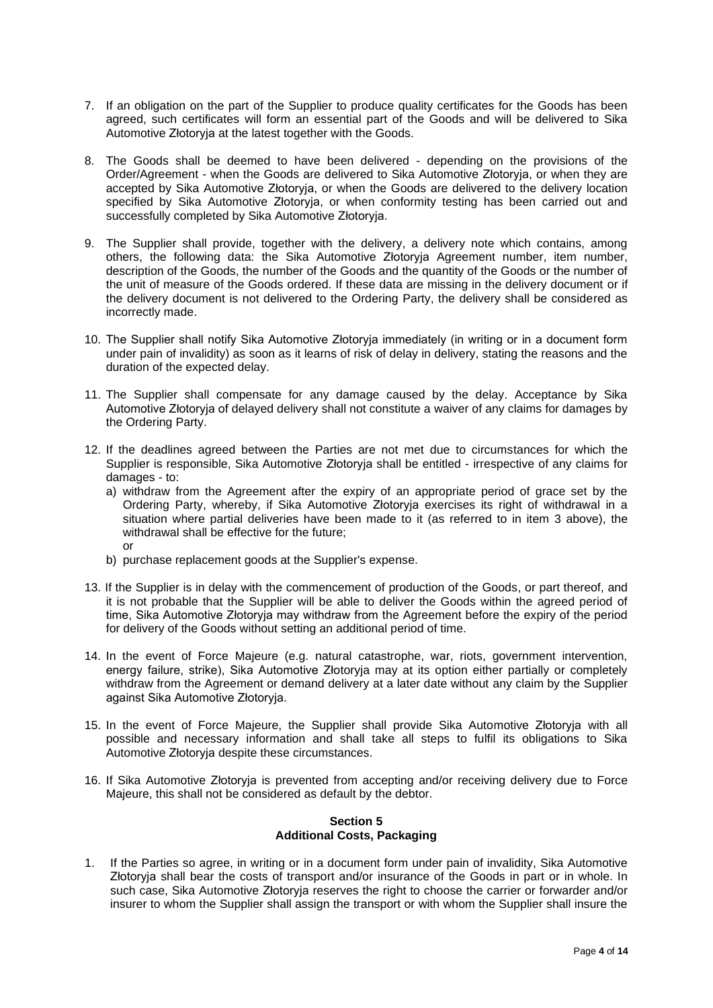- 7. If an obligation on the part of the Supplier to produce quality certificates for the Goods has been agreed, such certificates will form an essential part of the Goods and will be delivered to Sika Automotive Złotoryja at the latest together with the Goods.
- 8. The Goods shall be deemed to have been delivered depending on the provisions of the Order/Agreement - when the Goods are delivered to Sika Automotive Złotoryja, or when they are accepted by Sika Automotive Złotoryja, or when the Goods are delivered to the delivery location specified by Sika Automotive Złotoryja, or when conformity testing has been carried out and successfully completed by Sika Automotive Złotoryja.
- 9. The Supplier shall provide, together with the delivery, a delivery note which contains, among others, the following data: the Sika Automotive Złotoryja Agreement number, item number, description of the Goods, the number of the Goods and the quantity of the Goods or the number of the unit of measure of the Goods ordered. If these data are missing in the delivery document or if the delivery document is not delivered to the Ordering Party, the delivery shall be considered as incorrectly made.
- 10. The Supplier shall notify Sika Automotive Złotoryja immediately (in writing or in a document form under pain of invalidity) as soon as it learns of risk of delay in delivery, stating the reasons and the duration of the expected delay.
- 11. The Supplier shall compensate for any damage caused by the delay. Acceptance by Sika Automotive Złotoryja of delayed delivery shall not constitute a waiver of any claims for damages by the Ordering Party.
- 12. If the deadlines agreed between the Parties are not met due to circumstances for which the Supplier is responsible, Sika Automotive Złotoryja shall be entitled - irrespective of any claims for damages - to:
	- a) withdraw from the Agreement after the expiry of an appropriate period of grace set by the Ordering Party, whereby, if Sika Automotive Złotoryja exercises its right of withdrawal in a situation where partial deliveries have been made to it (as referred to in item 3 above), the withdrawal shall be effective for the future; or
	- b) purchase replacement goods at the Supplier's expense.
- 13. If the Supplier is in delay with the commencement of production of the Goods, or part thereof, and it is not probable that the Supplier will be able to deliver the Goods within the agreed period of time, Sika Automotive Złotoryja may withdraw from the Agreement before the expiry of the period for delivery of the Goods without setting an additional period of time.
- 14. In the event of Force Majeure (e.g. natural catastrophe, war, riots, government intervention, energy failure, strike), Sika Automotive Złotoryja may at its option either partially or completely withdraw from the Agreement or demand delivery at a later date without any claim by the Supplier against Sika Automotive Złotoryja.
- 15. In the event of Force Majeure, the Supplier shall provide Sika Automotive Złotoryja with all possible and necessary information and shall take all steps to fulfil its obligations to Sika Automotive Złotoryja despite these circumstances.
- 16. If Sika Automotive Złotoryja is prevented from accepting and/or receiving delivery due to Force Majeure, this shall not be considered as default by the debtor.

## **Section 5 Additional Costs, Packaging**

1. If the Parties so agree, in writing or in a document form under pain of invalidity, Sika Automotive Złotoryja shall bear the costs of transport and/or insurance of the Goods in part or in whole. In such case, Sika Automotive Złotoryja reserves the right to choose the carrier or forwarder and/or insurer to whom the Supplier shall assign the transport or with whom the Supplier shall insure the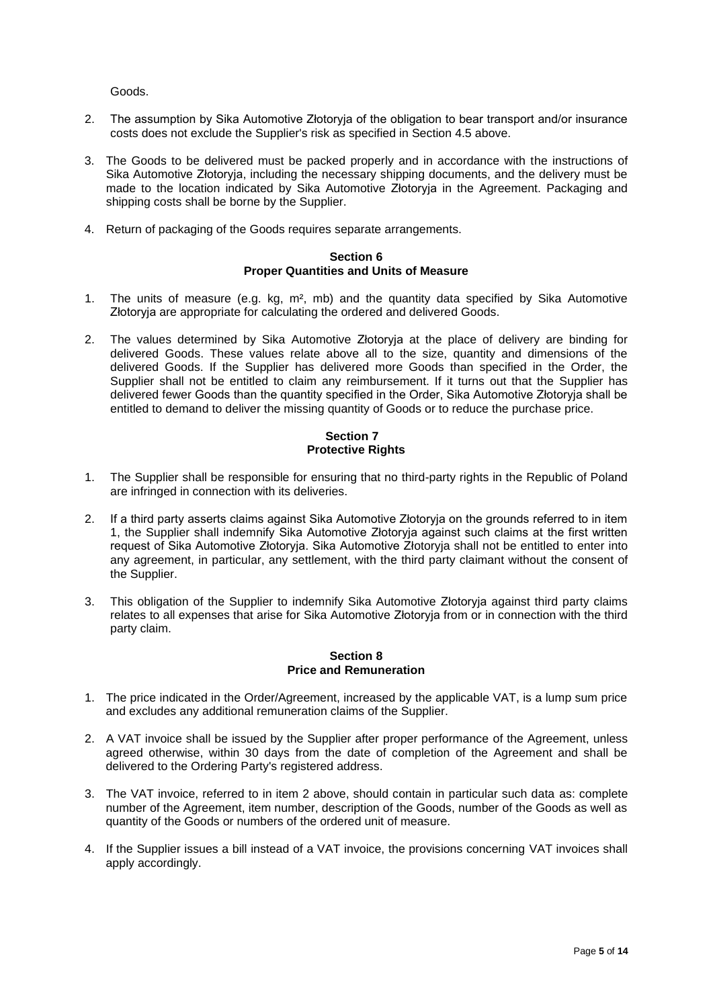#### Goods.

- 2. The assumption by Sika Automotive Złotoryja of the obligation to bear transport and/or insurance costs does not exclude the Supplier's risk as specified in Section 4.5 above.
- 3. The Goods to be delivered must be packed properly and in accordance with the instructions of Sika Automotive Złotoryja, including the necessary shipping documents, and the delivery must be made to the location indicated by Sika Automotive Złotoryja in the Agreement. Packaging and shipping costs shall be borne by the Supplier.
- 4. Return of packaging of the Goods requires separate arrangements.

#### **Section 6 Proper Quantities and Units of Measure**

- 1. The units of measure (e.g. kg, m², mb) and the quantity data specified by Sika Automotive Złotoryja are appropriate for calculating the ordered and delivered Goods.
- 2. The values determined by Sika Automotive Złotoryja at the place of delivery are binding for delivered Goods. These values relate above all to the size, quantity and dimensions of the delivered Goods. If the Supplier has delivered more Goods than specified in the Order, the Supplier shall not be entitled to claim any reimbursement. If it turns out that the Supplier has delivered fewer Goods than the quantity specified in the Order, Sika Automotive Złotoryja shall be entitled to demand to deliver the missing quantity of Goods or to reduce the purchase price.

## **Section 7 Protective Rights**

- 1. The Supplier shall be responsible for ensuring that no third-party rights in the Republic of Poland are infringed in connection with its deliveries.
- 2. If a third party asserts claims against Sika Automotive Złotoryja on the grounds referred to in item 1, the Supplier shall indemnify Sika Automotive Złotoryja against such claims at the first written request of Sika Automotive Złotoryja. Sika Automotive Złotoryja shall not be entitled to enter into any agreement, in particular, any settlement, with the third party claimant without the consent of the Supplier.
- 3. This obligation of the Supplier to indemnify Sika Automotive Złotoryja against third party claims relates to all expenses that arise for Sika Automotive Złotoryja from or in connection with the third party claim.

#### **Section 8 Price and Remuneration**

- 1. The price indicated in the Order/Agreement, increased by the applicable VAT, is a lump sum price and excludes any additional remuneration claims of the Supplier.
- 2. A VAT invoice shall be issued by the Supplier after proper performance of the Agreement, unless agreed otherwise, within 30 days from the date of completion of the Agreement and shall be delivered to the Ordering Party's registered address.
- 3. The VAT invoice, referred to in item 2 above, should contain in particular such data as: complete number of the Agreement, item number, description of the Goods, number of the Goods as well as quantity of the Goods or numbers of the ordered unit of measure.
- 4. If the Supplier issues a bill instead of a VAT invoice, the provisions concerning VAT invoices shall apply accordingly.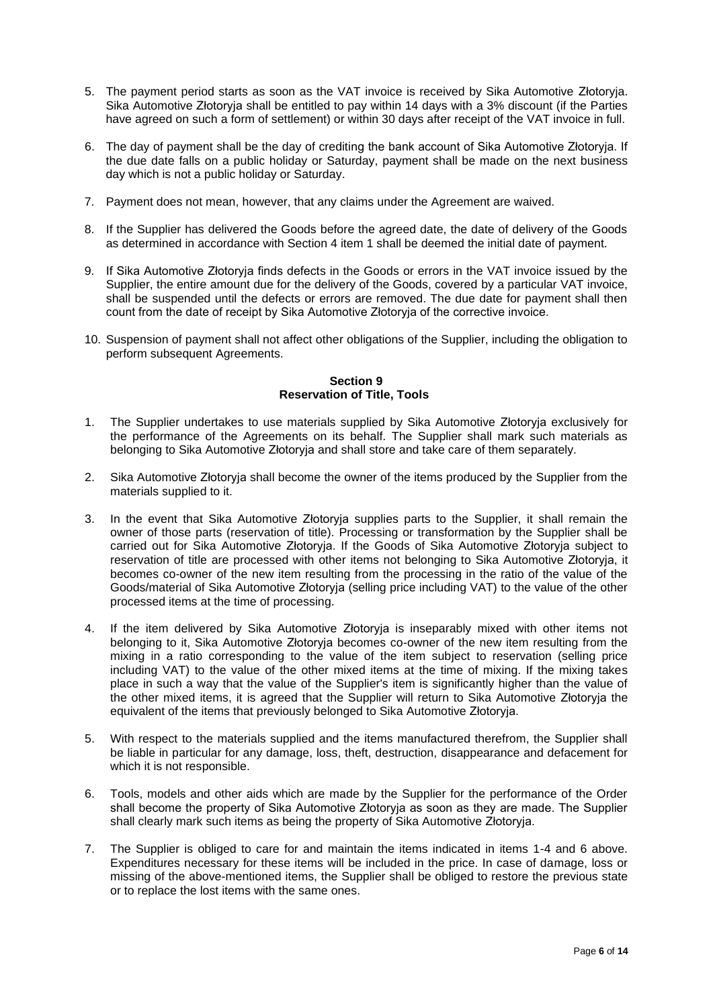- 5. The payment period starts as soon as the VAT invoice is received by Sika Automotive Złotoryja. Sika Automotive Złotoryja shall be entitled to pay within 14 days with a 3% discount (if the Parties have agreed on such a form of settlement) or within 30 days after receipt of the VAT invoice in full.
- 6. The day of payment shall be the day of crediting the bank account of Sika Automotive Złotoryja. If the due date falls on a public holiday or Saturday, payment shall be made on the next business day which is not a public holiday or Saturday.
- 7. Payment does not mean, however, that any claims under the Agreement are waived.
- 8. If the Supplier has delivered the Goods before the agreed date, the date of delivery of the Goods as determined in accordance with Section 4 item 1 shall be deemed the initial date of payment.
- 9. If Sika Automotive Złotoryja finds defects in the Goods or errors in the VAT invoice issued by the Supplier, the entire amount due for the delivery of the Goods, covered by a particular VAT invoice, shall be suspended until the defects or errors are removed. The due date for payment shall then count from the date of receipt by Sika Automotive Złotoryja of the corrective invoice.
- 10. Suspension of payment shall not affect other obligations of the Supplier, including the obligation to perform subsequent Agreements.

## **Section 9 Reservation of Title, Tools**

- 1. The Supplier undertakes to use materials supplied by Sika Automotive Złotoryja exclusively for the performance of the Agreements on its behalf. The Supplier shall mark such materials as belonging to Sika Automotive Złotoryja and shall store and take care of them separately.
- 2. Sika Automotive Złotoryja shall become the owner of the items produced by the Supplier from the materials supplied to it.
- 3. In the event that Sika Automotive Złotoryja supplies parts to the Supplier, it shall remain the owner of those parts (reservation of title). Processing or transformation by the Supplier shall be carried out for Sika Automotive Złotoryja. If the Goods of Sika Automotive Złotoryja subject to reservation of title are processed with other items not belonging to Sika Automotive Złotoryja, it becomes co-owner of the new item resulting from the processing in the ratio of the value of the Goods/material of Sika Automotive Złotoryja (selling price including VAT) to the value of the other processed items at the time of processing.
- 4. If the item delivered by Sika Automotive Złotoryja is inseparably mixed with other items not belonging to it, Sika Automotive Złotoryja becomes co-owner of the new item resulting from the mixing in a ratio corresponding to the value of the item subject to reservation (selling price including VAT) to the value of the other mixed items at the time of mixing. If the mixing takes place in such a way that the value of the Supplier's item is significantly higher than the value of the other mixed items, it is agreed that the Supplier will return to Sika Automotive Złotoryja the equivalent of the items that previously belonged to Sika Automotive Złotoryja.
- 5. With respect to the materials supplied and the items manufactured therefrom, the Supplier shall be liable in particular for any damage, loss, theft, destruction, disappearance and defacement for which it is not responsible.
- 6. Tools, models and other aids which are made by the Supplier for the performance of the Order shall become the property of Sika Automotive Złotoryja as soon as they are made. The Supplier shall clearly mark such items as being the property of Sika Automotive Złotoryja.
- 7. The Supplier is obliged to care for and maintain the items indicated in items 1-4 and 6 above. Expenditures necessary for these items will be included in the price. In case of damage, loss or missing of the above-mentioned items, the Supplier shall be obliged to restore the previous state or to replace the lost items with the same ones.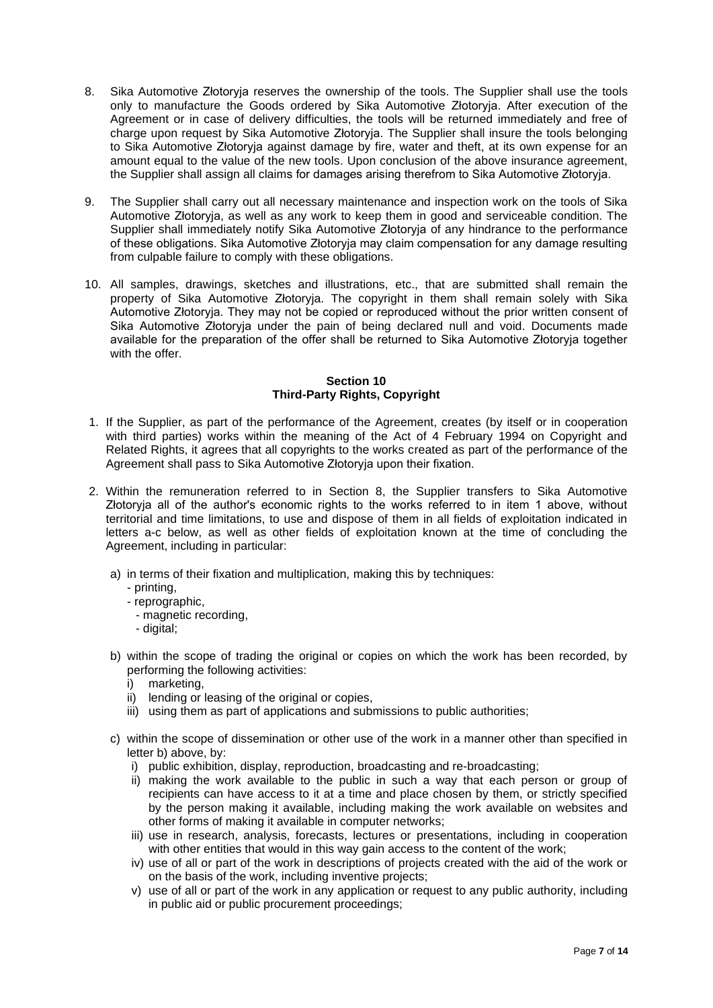- 8. Sika Automotive Złotoryja reserves the ownership of the tools. The Supplier shall use the tools only to manufacture the Goods ordered by Sika Automotive Złotoryja. After execution of the Agreement or in case of delivery difficulties, the tools will be returned immediately and free of charge upon request by Sika Automotive Złotoryja. The Supplier shall insure the tools belonging to Sika Automotive Złotoryja against damage by fire, water and theft, at its own expense for an amount equal to the value of the new tools. Upon conclusion of the above insurance agreement, the Supplier shall assign all claims for damages arising therefrom to Sika Automotive Złotoryja.
- 9. The Supplier shall carry out all necessary maintenance and inspection work on the tools of Sika Automotive Złotoryja, as well as any work to keep them in good and serviceable condition. The Supplier shall immediately notify Sika Automotive Złotoryja of any hindrance to the performance of these obligations. Sika Automotive Złotoryja may claim compensation for any damage resulting from culpable failure to comply with these obligations.
- 10. All samples, drawings, sketches and illustrations, etc., that are submitted shall remain the property of Sika Automotive Złotoryja. The copyright in them shall remain solely with Sika Automotive Złotoryja. They may not be copied or reproduced without the prior written consent of Sika Automotive Złotoryja under the pain of being declared null and void. Documents made available for the preparation of the offer shall be returned to Sika Automotive Złotoryja together with the offer.

## **Section 10 Third-Party Rights, Copyright**

- 1. If the Supplier, as part of the performance of the Agreement, creates (by itself or in cooperation with third parties) works within the meaning of the Act of 4 February 1994 on Copyright and Related Rights, it agrees that all copyrights to the works created as part of the performance of the Agreement shall pass to Sika Automotive Złotoryja upon their fixation.
- 2. Within the remuneration referred to in Section 8, the Supplier transfers to Sika Automotive Złotoryja all of the author's economic rights to the works referred to in item 1 above, without territorial and time limitations, to use and dispose of them in all fields of exploitation indicated in letters a-c below, as well as other fields of exploitation known at the time of concluding the Agreement, including in particular:
	- a) in terms of their fixation and multiplication, making this by techniques:
		- printing,
		- reprographic,
			- magnetic recording,
			- digital:
	- b) within the scope of trading the original or copies on which the work has been recorded, by performing the following activities:
		- i) marketing,
		- ii) lending or leasing of the original or copies,
		- iii) using them as part of applications and submissions to public authorities;
	- c) within the scope of dissemination or other use of the work in a manner other than specified in letter b) above, by:
		- i) public exhibition, display, reproduction, broadcasting and re-broadcasting;
		- ii) making the work available to the public in such a way that each person or group of recipients can have access to it at a time and place chosen by them, or strictly specified by the person making it available, including making the work available on websites and other forms of making it available in computer networks;
		- iii) use in research, analysis, forecasts, lectures or presentations, including in cooperation with other entities that would in this way gain access to the content of the work;
		- iv) use of all or part of the work in descriptions of projects created with the aid of the work or on the basis of the work, including inventive projects;
		- v) use of all or part of the work in any application or request to any public authority, including in public aid or public procurement proceedings;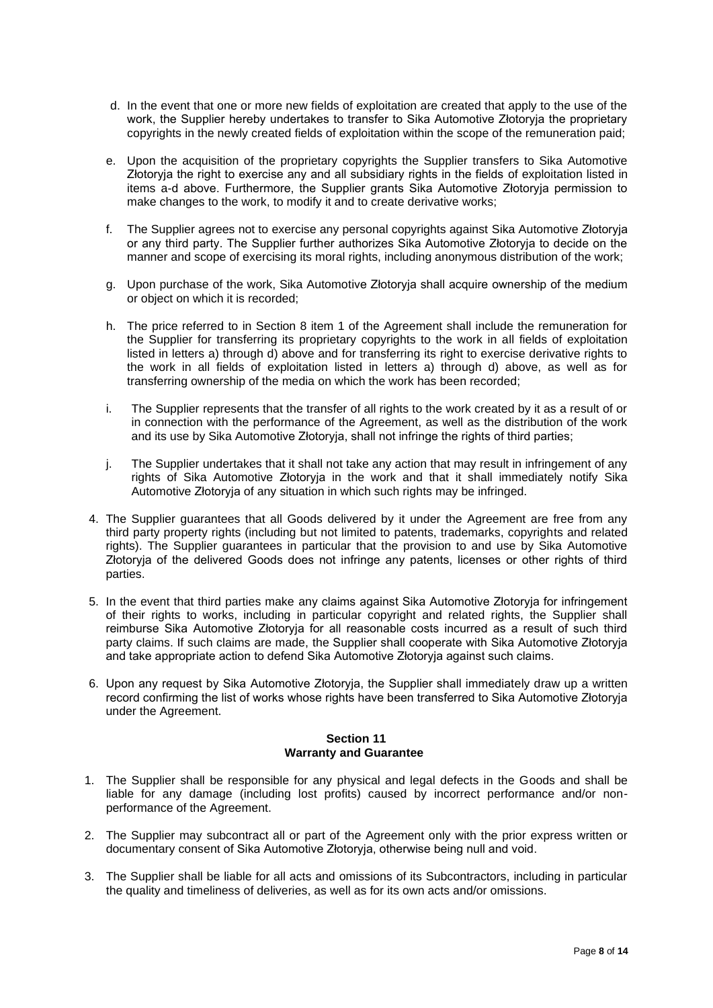- d. In the event that one or more new fields of exploitation are created that apply to the use of the work, the Supplier hereby undertakes to transfer to Sika Automotive Złotoryja the proprietary copyrights in the newly created fields of exploitation within the scope of the remuneration paid;
- e. Upon the acquisition of the proprietary copyrights the Supplier transfers to Sika Automotive Złotoryja the right to exercise any and all subsidiary rights in the fields of exploitation listed in items a-d above. Furthermore, the Supplier grants Sika Automotive Złotoryja permission to make changes to the work, to modify it and to create derivative works;
- f. The Supplier agrees not to exercise any personal copyrights against Sika Automotive Złotoryja or any third party. The Supplier further authorizes Sika Automotive Złotoryja to decide on the manner and scope of exercising its moral rights, including anonymous distribution of the work;
- g. Upon purchase of the work, Sika Automotive Złotoryja shall acquire ownership of the medium or object on which it is recorded;
- h. The price referred to in Section 8 item 1 of the Agreement shall include the remuneration for the Supplier for transferring its proprietary copyrights to the work in all fields of exploitation listed in letters a) through d) above and for transferring its right to exercise derivative rights to the work in all fields of exploitation listed in letters a) through d) above, as well as for transferring ownership of the media on which the work has been recorded;
- i. The Supplier represents that the transfer of all rights to the work created by it as a result of or in connection with the performance of the Agreement, as well as the distribution of the work and its use by Sika Automotive Złotoryja, shall not infringe the rights of third parties;
- j. The Supplier undertakes that it shall not take any action that may result in infringement of any rights of Sika Automotive Złotoryja in the work and that it shall immediately notify Sika Automotive Złotoryja of any situation in which such rights may be infringed.
- 4. The Supplier guarantees that all Goods delivered by it under the Agreement are free from any third party property rights (including but not limited to patents, trademarks, copyrights and related rights). The Supplier guarantees in particular that the provision to and use by Sika Automotive Złotoryja of the delivered Goods does not infringe any patents, licenses or other rights of third parties.
- 5. In the event that third parties make any claims against Sika Automotive Złotoryja for infringement of their rights to works, including in particular copyright and related rights, the Supplier shall reimburse Sika Automotive Złotoryja for all reasonable costs incurred as a result of such third party claims. If such claims are made, the Supplier shall cooperate with Sika Automotive Złotoryja and take appropriate action to defend Sika Automotive Złotoryja against such claims.
- 6. Upon any request by Sika Automotive Złotoryja, the Supplier shall immediately draw up a written record confirming the list of works whose rights have been transferred to Sika Automotive Złotoryja under the Agreement.

## **Section 11 Warranty and Guarantee**

- 1. The Supplier shall be responsible for any physical and legal defects in the Goods and shall be liable for any damage (including lost profits) caused by incorrect performance and/or nonperformance of the Agreement.
- 2. The Supplier may subcontract all or part of the Agreement only with the prior express written or documentary consent of Sika Automotive Złotoryja, otherwise being null and void.
- 3. The Supplier shall be liable for all acts and omissions of its Subcontractors, including in particular the quality and timeliness of deliveries, as well as for its own acts and/or omissions.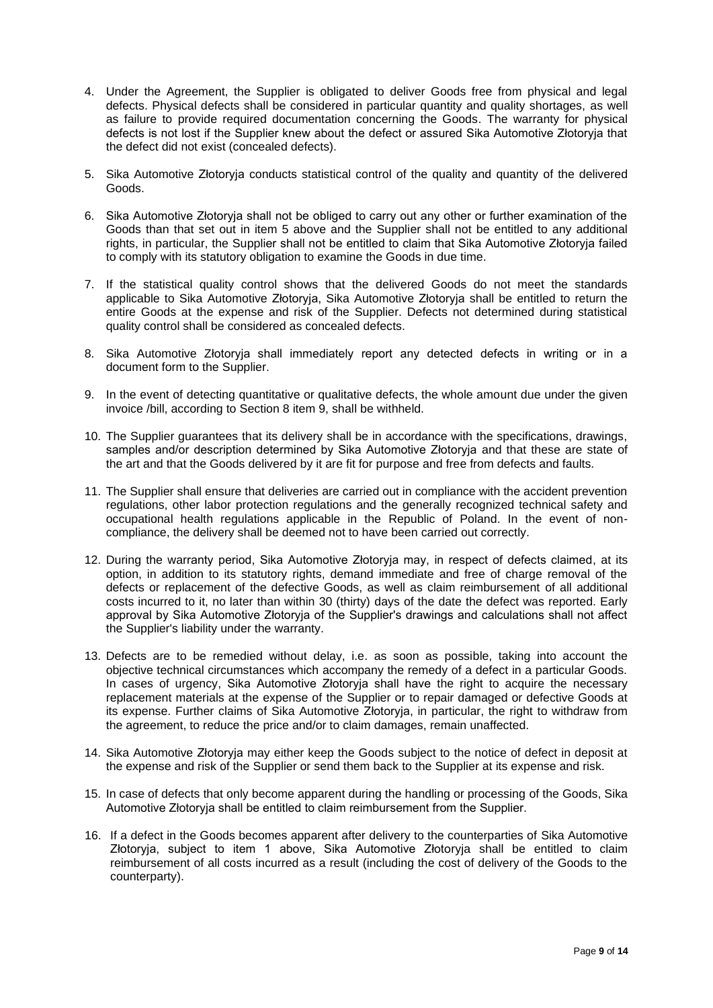- 4. Under the Agreement, the Supplier is obligated to deliver Goods free from physical and legal defects. Physical defects shall be considered in particular quantity and quality shortages, as well as failure to provide required documentation concerning the Goods. The warranty for physical defects is not lost if the Supplier knew about the defect or assured Sika Automotive Złotoryja that the defect did not exist (concealed defects).
- 5. Sika Automotive Złotoryja conducts statistical control of the quality and quantity of the delivered Goods.
- 6. Sika Automotive Złotoryja shall not be obliged to carry out any other or further examination of the Goods than that set out in item 5 above and the Supplier shall not be entitled to any additional rights, in particular, the Supplier shall not be entitled to claim that Sika Automotive Złotoryja failed to comply with its statutory obligation to examine the Goods in due time.
- 7. If the statistical quality control shows that the delivered Goods do not meet the standards applicable to Sika Automotive Złotoryja, Sika Automotive Złotoryja shall be entitled to return the entire Goods at the expense and risk of the Supplier. Defects not determined during statistical quality control shall be considered as concealed defects.
- 8. Sika Automotive Złotoryja shall immediately report any detected defects in writing or in a document form to the Supplier.
- 9. In the event of detecting quantitative or qualitative defects, the whole amount due under the given invoice /bill, according to Section 8 item 9, shall be withheld.
- 10. The Supplier guarantees that its delivery shall be in accordance with the specifications, drawings, samples and/or description determined by Sika Automotive Złotoryja and that these are state of the art and that the Goods delivered by it are fit for purpose and free from defects and faults.
- 11. The Supplier shall ensure that deliveries are carried out in compliance with the accident prevention regulations, other labor protection regulations and the generally recognized technical safety and occupational health regulations applicable in the Republic of Poland. In the event of noncompliance, the delivery shall be deemed not to have been carried out correctly.
- 12. During the warranty period, Sika Automotive Złotoryja may, in respect of defects claimed, at its option, in addition to its statutory rights, demand immediate and free of charge removal of the defects or replacement of the defective Goods, as well as claim reimbursement of all additional costs incurred to it, no later than within 30 (thirty) days of the date the defect was reported. Early approval by Sika Automotive Złotoryja of the Supplier's drawings and calculations shall not affect the Supplier's liability under the warranty.
- 13. Defects are to be remedied without delay, i.e. as soon as possible, taking into account the objective technical circumstances which accompany the remedy of a defect in a particular Goods. In cases of urgency, Sika Automotive Złotoryja shall have the right to acquire the necessary replacement materials at the expense of the Supplier or to repair damaged or defective Goods at its expense. Further claims of Sika Automotive Złotoryja, in particular, the right to withdraw from the agreement, to reduce the price and/or to claim damages, remain unaffected.
- 14. Sika Automotive Złotoryja may either keep the Goods subject to the notice of defect in deposit at the expense and risk of the Supplier or send them back to the Supplier at its expense and risk.
- 15. In case of defects that only become apparent during the handling or processing of the Goods, Sika Automotive Złotoryja shall be entitled to claim reimbursement from the Supplier.
- 16. If a defect in the Goods becomes apparent after delivery to the counterparties of Sika Automotive Złotoryja, subject to item 1 above, Sika Automotive Złotoryja shall be entitled to claim reimbursement of all costs incurred as a result (including the cost of delivery of the Goods to the counterparty).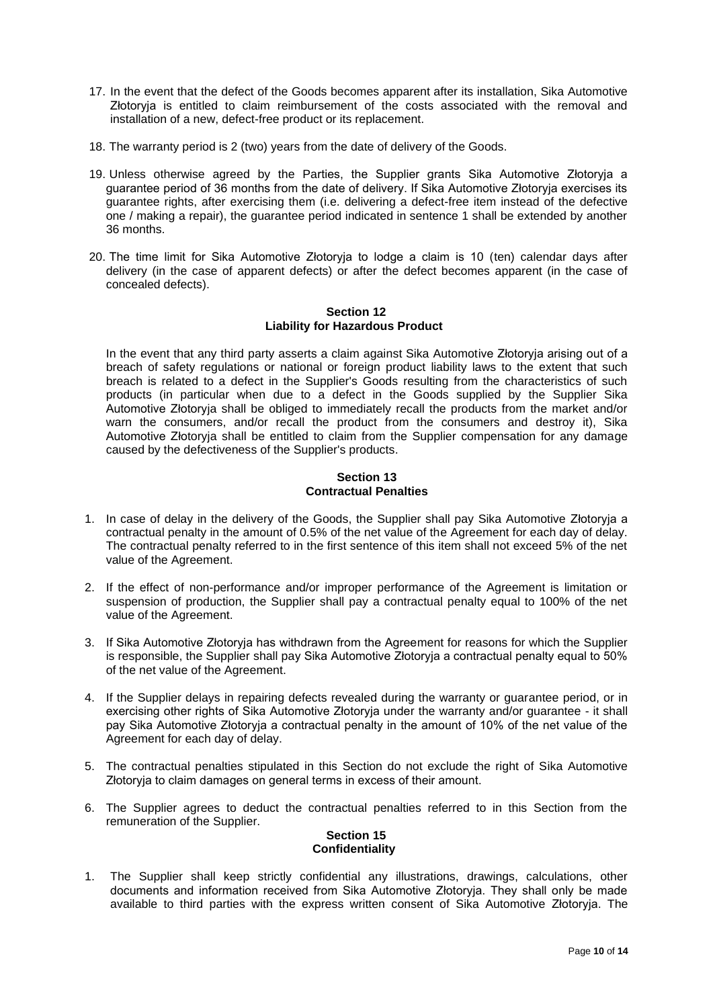- 17. In the event that the defect of the Goods becomes apparent after its installation, Sika Automotive Złotoryja is entitled to claim reimbursement of the costs associated with the removal and installation of a new, defect-free product or its replacement.
- 18. The warranty period is 2 (two) years from the date of delivery of the Goods.
- 19. Unless otherwise agreed by the Parties, the Supplier grants Sika Automotive Złotoryja a guarantee period of 36 months from the date of delivery. If Sika Automotive Złotoryja exercises its guarantee rights, after exercising them (i.e. delivering a defect-free item instead of the defective one / making a repair), the guarantee period indicated in sentence 1 shall be extended by another 36 months.
- 20. The time limit for Sika Automotive Złotoryja to lodge a claim is 10 (ten) calendar days after delivery (in the case of apparent defects) or after the defect becomes apparent (in the case of concealed defects).

#### **Section 12 Liability for Hazardous Product**

In the event that any third party asserts a claim against Sika Automotive Złotoryja arising out of a breach of safety regulations or national or foreign product liability laws to the extent that such breach is related to a defect in the Supplier's Goods resulting from the characteristics of such products (in particular when due to a defect in the Goods supplied by the Supplier Sika Automotive Złotoryja shall be obliged to immediately recall the products from the market and/or warn the consumers, and/or recall the product from the consumers and destroy it), Sika Automotive Złotoryja shall be entitled to claim from the Supplier compensation for any damage caused by the defectiveness of the Supplier's products.

#### **Section 13 Contractual Penalties**

- 1. In case of delay in the delivery of the Goods, the Supplier shall pay Sika Automotive Złotoryja a contractual penalty in the amount of 0.5% of the net value of the Agreement for each day of delay. The contractual penalty referred to in the first sentence of this item shall not exceed 5% of the net value of the Agreement.
- 2. If the effect of non-performance and/or improper performance of the Agreement is limitation or suspension of production, the Supplier shall pay a contractual penalty equal to 100% of the net value of the Agreement.
- 3. If Sika Automotive Złotoryja has withdrawn from the Agreement for reasons for which the Supplier is responsible, the Supplier shall pay Sika Automotive Złotoryja a contractual penalty equal to 50% of the net value of the Agreement.
- 4. If the Supplier delays in repairing defects revealed during the warranty or guarantee period, or in exercising other rights of Sika Automotive Złotoryja under the warranty and/or guarantee - it shall pay Sika Automotive Złotoryja a contractual penalty in the amount of 10% of the net value of the Agreement for each day of delay.
- 5. The contractual penalties stipulated in this Section do not exclude the right of Sika Automotive Złotoryja to claim damages on general terms in excess of their amount.
- 6. The Supplier agrees to deduct the contractual penalties referred to in this Section from the remuneration of the Supplier.

## **Section 15 Confidentiality**

1. The Supplier shall keep strictly confidential any illustrations, drawings, calculations, other documents and information received from Sika Automotive Złotoryja. They shall only be made available to third parties with the express written consent of Sika Automotive Złotoryja. The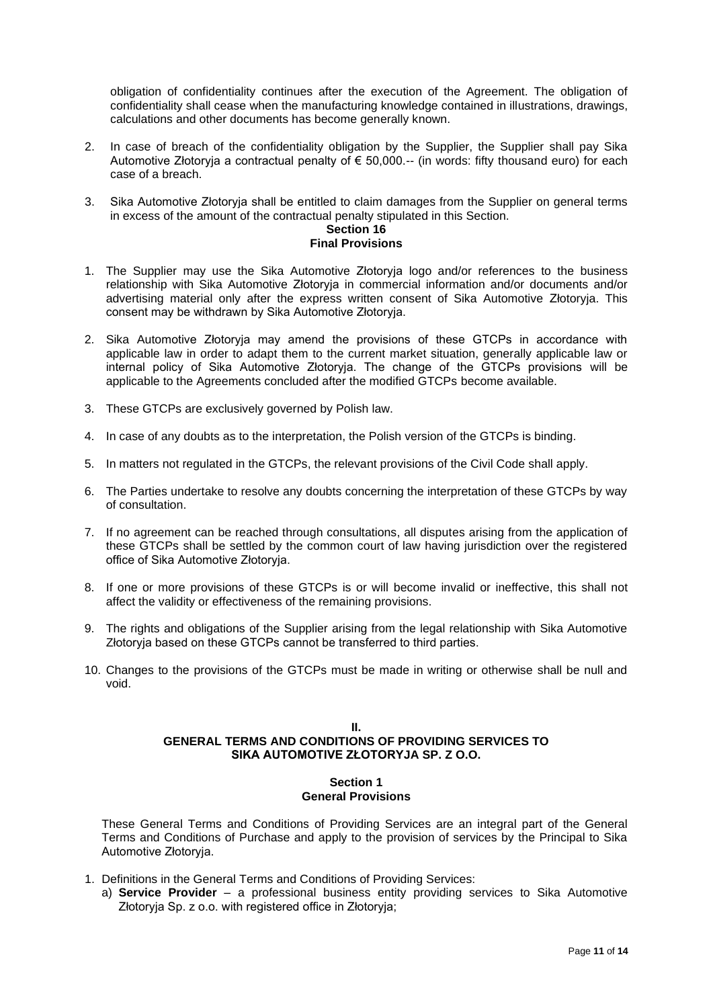obligation of confidentiality continues after the execution of the Agreement. The obligation of confidentiality shall cease when the manufacturing knowledge contained in illustrations, drawings, calculations and other documents has become generally known.

- 2. In case of breach of the confidentiality obligation by the Supplier, the Supplier shall pay Sika Automotive Złotoryja a contractual penalty of  $\epsilon$  50,000.-- (in words: fifty thousand euro) for each case of a breach.
- 3. Sika Automotive Złotoryja shall be entitled to claim damages from the Supplier on general terms in excess of the amount of the contractual penalty stipulated in this Section.

# **Section 16**

- **Final Provisions**
- 1. The Supplier may use the Sika Automotive Złotoryja logo and/or references to the business relationship with Sika Automotive Złotoryja in commercial information and/or documents and/or advertising material only after the express written consent of Sika Automotive Złotoryja. This consent may be withdrawn by Sika Automotive Złotoryja.
- 2. Sika Automotive Złotoryja may amend the provisions of these GTCPs in accordance with applicable law in order to adapt them to the current market situation, generally applicable law or internal policy of Sika Automotive Złotoryja. The change of the GTCPs provisions will be applicable to the Agreements concluded after the modified GTCPs become available.
- 3. These GTCPs are exclusively governed by Polish law.
- 4. In case of any doubts as to the interpretation, the Polish version of the GTCPs is binding.
- 5. In matters not regulated in the GTCPs, the relevant provisions of the Civil Code shall apply.
- 6. The Parties undertake to resolve any doubts concerning the interpretation of these GTCPs by way of consultation.
- 7. If no agreement can be reached through consultations, all disputes arising from the application of these GTCPs shall be settled by the common court of law having jurisdiction over the registered office of Sika Automotive Złotoryja.
- 8. If one or more provisions of these GTCPs is or will become invalid or ineffective, this shall not affect the validity or effectiveness of the remaining provisions.
- 9. The rights and obligations of the Supplier arising from the legal relationship with Sika Automotive Złotoryja based on these GTCPs cannot be transferred to third parties.
- 10. Changes to the provisions of the GTCPs must be made in writing or otherwise shall be null and void.

## **II. GENERAL TERMS AND CONDITIONS OF PROVIDING SERVICES TO SIKA AUTOMOTIVE ZŁOTORYJA SP. Z O.O.**

#### **Section 1 General Provisions**

These General Terms and Conditions of Providing Services are an integral part of the General Terms and Conditions of Purchase and apply to the provision of services by the Principal to Sika Automotive Złotoryja.

- 1. Definitions in the General Terms and Conditions of Providing Services:
	- a) **Service Provider** a professional business entity providing services to Sika Automotive Złotoryja Sp. z o.o. with registered office in Złotoryja;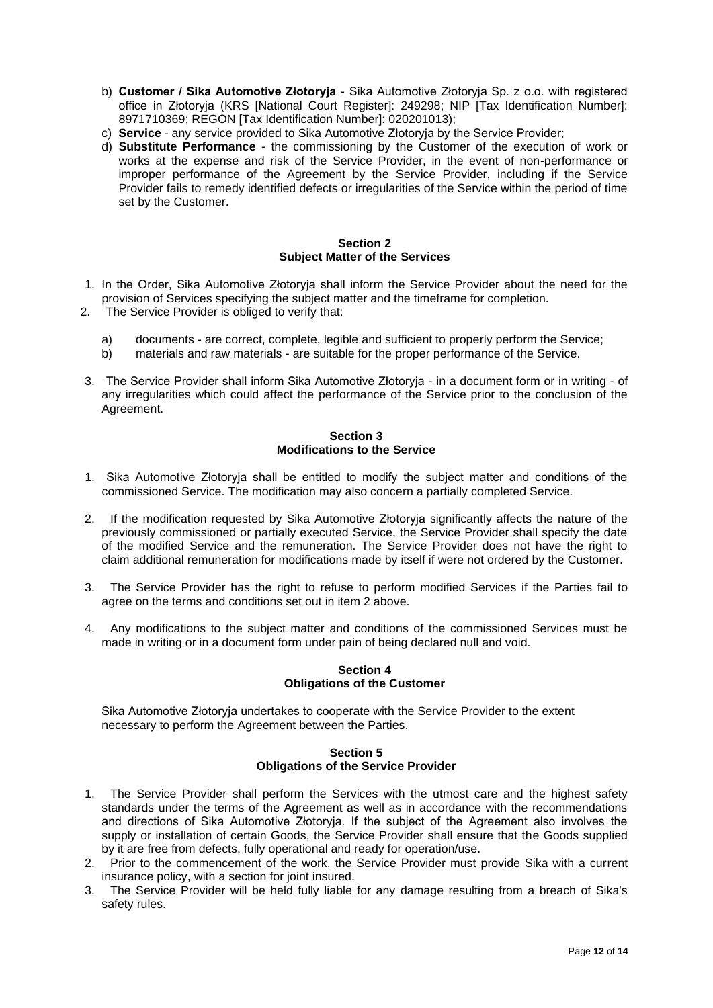- b) **Customer / Sika Automotive Złotoryja** Sika Automotive Złotoryja Sp. z o.o. with registered office in Złotoryja (KRS [National Court Register]: 249298; NIP [Tax Identification Number]: 8971710369; REGON [Tax Identification Number]: 020201013);
- c) **Service** any service provided to Sika Automotive Złotoryja by the Service Provider;
- d) **Substitute Performance** the commissioning by the Customer of the execution of work or works at the expense and risk of the Service Provider, in the event of non-performance or improper performance of the Agreement by the Service Provider, including if the Service Provider fails to remedy identified defects or irregularities of the Service within the period of time set by the Customer.

#### **Section 2 Subject Matter of the Services**

- 1. In the Order, Sika Automotive Złotoryja shall inform the Service Provider about the need for the provision of Services specifying the subject matter and the timeframe for completion.
- 2. The Service Provider is obliged to verify that:
	- a) documents are correct, complete, legible and sufficient to properly perform the Service;
	- b) materials and raw materials are suitable for the proper performance of the Service.
- 3. The Service Provider shall inform Sika Automotive Złotoryja in a document form or in writing of any irregularities which could affect the performance of the Service prior to the conclusion of the Agreement.

#### **Section 3 Modifications to the Service**

- 1. Sika Automotive Złotoryja shall be entitled to modify the subject matter and conditions of the commissioned Service. The modification may also concern a partially completed Service.
- 2. If the modification requested by Sika Automotive Złotoryja significantly affects the nature of the previously commissioned or partially executed Service, the Service Provider shall specify the date of the modified Service and the remuneration. The Service Provider does not have the right to claim additional remuneration for modifications made by itself if were not ordered by the Customer.
- 3. The Service Provider has the right to refuse to perform modified Services if the Parties fail to agree on the terms and conditions set out in item 2 above.
- 4. Any modifications to the subject matter and conditions of the commissioned Services must be made in writing or in a document form under pain of being declared null and void.

## **Section 4 Obligations of the Customer**

Sika Automotive Złotoryja undertakes to cooperate with the Service Provider to the extent necessary to perform the Agreement between the Parties.

#### **Section 5 Obligations of the Service Provider**

- 1. The Service Provider shall perform the Services with the utmost care and the highest safety standards under the terms of the Agreement as well as in accordance with the recommendations and directions of Sika Automotive Złotoryja. If the subject of the Agreement also involves the supply or installation of certain Goods, the Service Provider shall ensure that the Goods supplied by it are free from defects, fully operational and ready for operation/use.
- 2. Prior to the commencement of the work, the Service Provider must provide Sika with a current insurance policy, with a section for joint insured.
- 3. The Service Provider will be held fully liable for any damage resulting from a breach of Sika's safety rules.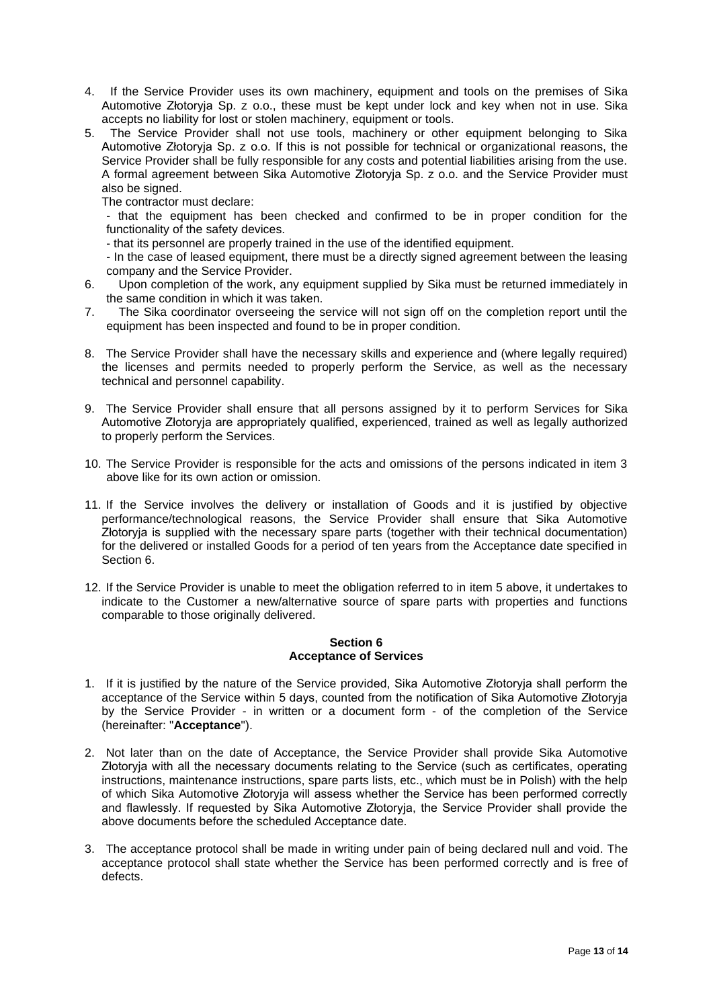- 4. If the Service Provider uses its own machinery, equipment and tools on the premises of Sika Automotive Złotoryja Sp. z o.o., these must be kept under lock and key when not in use. Sika accepts no liability for lost or stolen machinery, equipment or tools.
- 5. The Service Provider shall not use tools, machinery or other equipment belonging to Sika Automotive Złotoryja Sp. z o.o. If this is not possible for technical or organizational reasons, the Service Provider shall be fully responsible for any costs and potential liabilities arising from the use. A formal agreement between Sika Automotive Złotoryja Sp. z o.o. and the Service Provider must also be signed.

The contractor must declare:

- that the equipment has been checked and confirmed to be in proper condition for the functionality of the safety devices.

- that its personnel are properly trained in the use of the identified equipment.

- In the case of leased equipment, there must be a directly signed agreement between the leasing company and the Service Provider.

- 6. Upon completion of the work, any equipment supplied by Sika must be returned immediately in the same condition in which it was taken.
- 7. The Sika coordinator overseeing the service will not sign off on the completion report until the equipment has been inspected and found to be in proper condition.
- 8. The Service Provider shall have the necessary skills and experience and (where legally required) the licenses and permits needed to properly perform the Service, as well as the necessary technical and personnel capability.
- 9. The Service Provider shall ensure that all persons assigned by it to perform Services for Sika Automotive Złotoryja are appropriately qualified, experienced, trained as well as legally authorized to properly perform the Services.
- 10. The Service Provider is responsible for the acts and omissions of the persons indicated in item 3 above like for its own action or omission.
- 11. If the Service involves the delivery or installation of Goods and it is justified by objective performance/technological reasons, the Service Provider shall ensure that Sika Automotive Złotoryja is supplied with the necessary spare parts (together with their technical documentation) for the delivered or installed Goods for a period of ten years from the Acceptance date specified in Section 6.
- 12. If the Service Provider is unable to meet the obligation referred to in item 5 above, it undertakes to indicate to the Customer a new/alternative source of spare parts with properties and functions comparable to those originally delivered.

#### **Section 6 Acceptance of Services**

- 1. If it is justified by the nature of the Service provided, Sika Automotive Złotoryja shall perform the acceptance of the Service within 5 days, counted from the notification of Sika Automotive Złotoryja by the Service Provider - in written or a document form - of the completion of the Service (hereinafter: "**Acceptance**").
- 2. Not later than on the date of Acceptance, the Service Provider shall provide Sika Automotive Złotoryja with all the necessary documents relating to the Service (such as certificates, operating instructions, maintenance instructions, spare parts lists, etc., which must be in Polish) with the help of which Sika Automotive Złotoryja will assess whether the Service has been performed correctly and flawlessly. If requested by Sika Automotive Złotoryja, the Service Provider shall provide the above documents before the scheduled Acceptance date.
- 3. The acceptance protocol shall be made in writing under pain of being declared null and void. The acceptance protocol shall state whether the Service has been performed correctly and is free of defects.